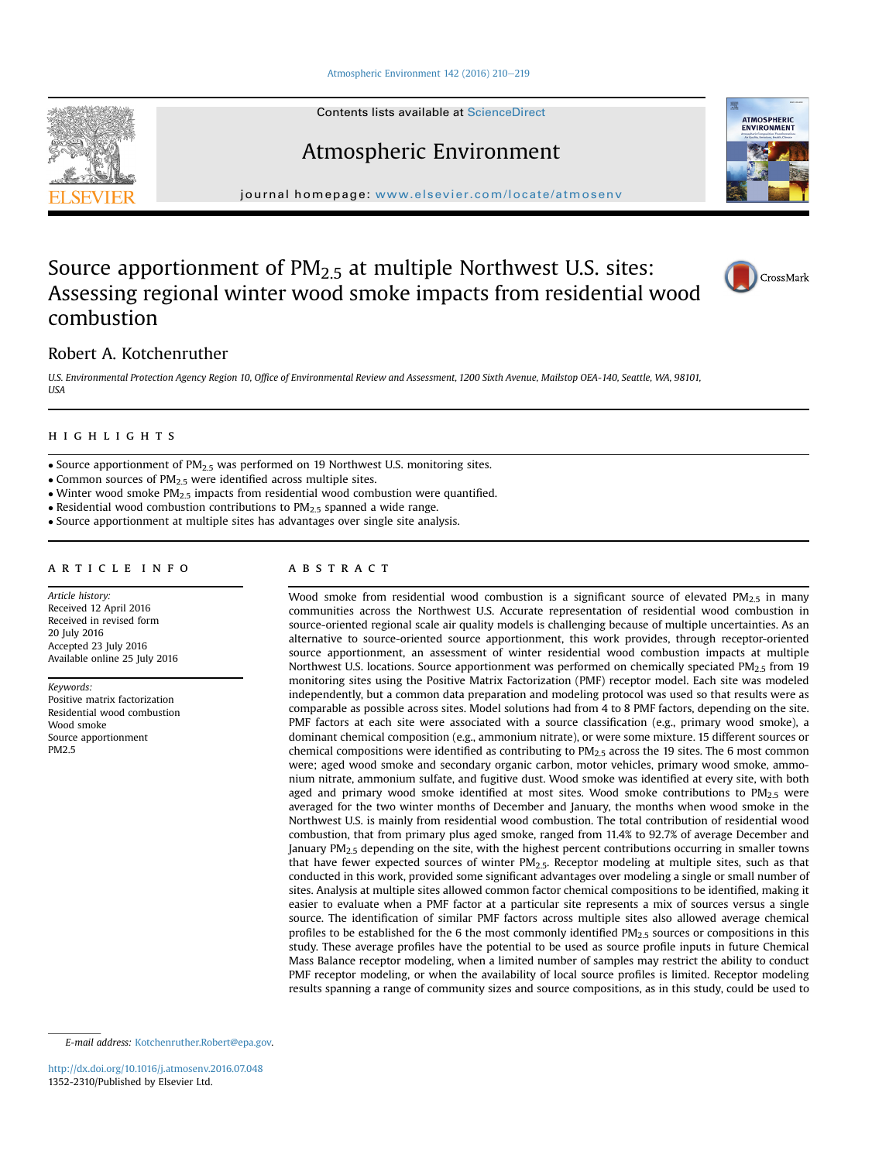[Atmospheric Environment 142 \(2016\) 210](http://dx.doi.org/10.1016/j.atmosenv.2016.07.048)-[219](http://dx.doi.org/10.1016/j.atmosenv.2016.07.048)

Contents lists available at ScienceDirect

# Atmospheric Environment

journal homepage: <www.elsevier.com/locate/atmosenv>

## Source apportionment of PM<sub>2.5</sub> at multiple Northwest U.S. sites: Assessing regional winter wood smoke impacts from residential wood combustion

### Robert A. Kotchenruther

U.S. Environmental Protection Agency Region 10, Office of Environmental Review and Assessment, 1200 Sixth Avenue, Mailstop OEA-140, Seattle, WA, 98101, USA

• Source apportionment of  $PM<sub>2.5</sub>$  was performed on 19 Northwest U.S. monitoring sites.

- $\bullet$  Common sources of PM<sub>2.5</sub> were identified across multiple sites.
- $\bullet$  Winter wood smoke PM<sub>2.5</sub> impacts from residential wood combustion were quantified.
- Residential wood combustion contributions to  $PM<sub>2.5</sub>$  spanned a wide range.
- Source apportionment at multiple sites has advantages over single site analysis.

### article info

Article history: Received 12 April 2016 Received in revised form 20 July 2016 Accepted 23 July 2016 Available online 25 July 2016

Keywords: Positive matrix factorization Residential wood combustion Wood smoke Source apportionment PM2.5

### abstract

Wood smoke from residential wood combustion is a significant source of elevated PM<sub>2.5</sub> in many communities across the Northwest U.S. Accurate representation of residential wood combustion in source-oriented regional scale air quality models is challenging because of multiple uncertainties. As an alternative to source-oriented source apportionment, this work provides, through receptor-oriented source apportionment, an assessment of winter residential wood combustion impacts at multiple Northwest U.S. locations. Source apportionment was performed on chemically speciated PM<sub>2.5</sub> from 19 monitoring sites using the Positive Matrix Factorization (PMF) receptor model. Each site was modeled independently, but a common data preparation and modeling protocol was used so that results were as comparable as possible across sites. Model solutions had from 4 to 8 PMF factors, depending on the site. PMF factors at each site were associated with a source classification (e.g., primary wood smoke), a dominant chemical composition (e.g., ammonium nitrate), or were some mixture. 15 different sources or chemical compositions were identified as contributing to  $PM_{2.5}$  across the 19 sites. The 6 most common were; aged wood smoke and secondary organic carbon, motor vehicles, primary wood smoke, ammonium nitrate, ammonium sulfate, and fugitive dust. Wood smoke was identified at every site, with both aged and primary wood smoke identified at most sites. Wood smoke contributions to  $PM_{2.5}$  were averaged for the two winter months of December and January, the months when wood smoke in the Northwest U.S. is mainly from residential wood combustion. The total contribution of residential wood combustion, that from primary plus aged smoke, ranged from 11.4% to 92.7% of average December and January  $PM<sub>2.5</sub>$  depending on the site, with the highest percent contributions occurring in smaller towns that have fewer expected sources of winter  $PM_{2.5}$ . Receptor modeling at multiple sites, such as that conducted in this work, provided some significant advantages over modeling a single or small number of sites. Analysis at multiple sites allowed common factor chemical compositions to be identified, making it easier to evaluate when a PMF factor at a particular site represents a mix of sources versus a single source. The identification of similar PMF factors across multiple sites also allowed average chemical profiles to be established for the 6 the most commonly identified PM2.5 sources or compositions in this study. These average profiles have the potential to be used as source profile inputs in future Chemical Mass Balance receptor modeling, when a limited number of samples may restrict the ability to conduct PMF receptor modeling, or when the availability of local source profiles is limited. Receptor modeling results spanning a range of community sizes and source compositions, as in this study, could be used to

E-mail address: [Kotchenruther.Robert@epa.gov.](mailto:Kotchenruther.Robert@epa.gov)

<http://dx.doi.org/10.1016/j.atmosenv.2016.07.048> 1352-2310/Published by Elsevier Ltd.





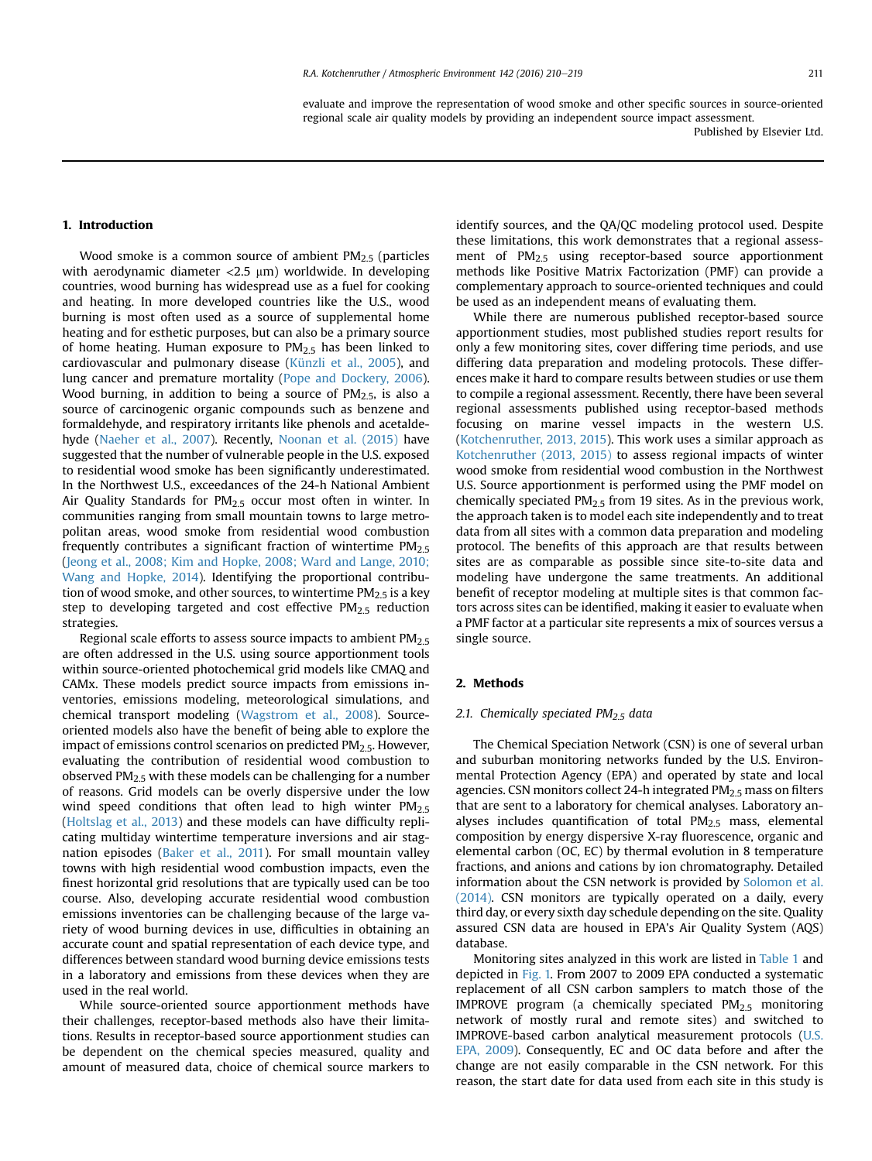evaluate and improve the representation of wood smoke and other specific sources in source-oriented regional scale air quality models by providing an independent source impact assessment. Published by Elsevier Ltd.

#### 1. Introduction

Wood smoke is a common source of ambient PM2.5 (particles with aerodynamic diameter  $<$ 2.5  $\mu$ m) worldwide. In developing countries, wood burning has widespread use as a fuel for cooking and heating. In more developed countries like the U.S., wood burning is most often used as a source of supplemental home heating and for esthetic purposes, but can also be a primary source of home heating. Human exposure to  $PM<sub>2.5</sub>$  has been linked to cardiovascular and pulmonary disease [\(Künzli et al., 2005\)](#page-8-0), and lung cancer and premature mortality ([Pope and Dockery, 2006\)](#page-9-0). Wood burning, in addition to being a source of  $PM<sub>2.5</sub>$ , is also a source of carcinogenic organic compounds such as benzene and formaldehyde, and respiratory irritants like phenols and acetaldehyde ([Naeher et al., 2007\)](#page-8-0). Recently, [Noonan et al. \(2015\)](#page-8-0) have suggested that the number of vulnerable people in the U.S. exposed to residential wood smoke has been significantly underestimated. In the Northwest U.S., exceedances of the 24-h National Ambient Air Quality Standards for  $PM<sub>2.5</sub>$  occur most often in winter. In communities ranging from small mountain towns to large metropolitan areas, wood smoke from residential wood combustion frequently contributes a significant fraction of wintertime  $PM<sub>2.5</sub>$ ([Jeong et al., 2008; Kim and Hopke, 2008; Ward and Lange, 2010;](#page-8-0) [Wang and Hopke, 2014\)](#page-8-0). Identifying the proportional contribution of wood smoke, and other sources, to wintertime  $PM<sub>2.5</sub>$  is a key step to developing targeted and cost effective  $PM<sub>2.5</sub>$  reduction strategies.

Regional scale efforts to assess source impacts to ambient  $PM<sub>2.5</sub>$ are often addressed in the U.S. using source apportionment tools within source-oriented photochemical grid models like CMAQ and CAMx. These models predict source impacts from emissions inventories, emissions modeling, meteorological simulations, and chemical transport modeling ([Wagstrom et al., 2008](#page-9-0)). Sourceoriented models also have the benefit of being able to explore the impact of emissions control scenarios on predicted  $PM<sub>2.5</sub>$ . However, evaluating the contribution of residential wood combustion to observed  $PM<sub>2.5</sub>$  with these models can be challenging for a number of reasons. Grid models can be overly dispersive under the low wind speed conditions that often lead to high winter  $PM<sub>2.5</sub>$ ([Holtslag et al., 2013\)](#page-8-0) and these models can have difficulty replicating multiday wintertime temperature inversions and air stagnation episodes [\(Baker et al., 2011\)](#page-8-0). For small mountain valley towns with high residential wood combustion impacts, even the finest horizontal grid resolutions that are typically used can be too course. Also, developing accurate residential wood combustion emissions inventories can be challenging because of the large variety of wood burning devices in use, difficulties in obtaining an accurate count and spatial representation of each device type, and differences between standard wood burning device emissions tests in a laboratory and emissions from these devices when they are used in the real world.

While source-oriented source apportionment methods have their challenges, receptor-based methods also have their limitations. Results in receptor-based source apportionment studies can be dependent on the chemical species measured, quality and amount of measured data, choice of chemical source markers to identify sources, and the QA/QC modeling protocol used. Despite these limitations, this work demonstrates that a regional assessment of PM2.5 using receptor-based source apportionment methods like Positive Matrix Factorization (PMF) can provide a complementary approach to source-oriented techniques and could be used as an independent means of evaluating them.

While there are numerous published receptor-based source apportionment studies, most published studies report results for only a few monitoring sites, cover differing time periods, and use differing data preparation and modeling protocols. These differences make it hard to compare results between studies or use them to compile a regional assessment. Recently, there have been several regional assessments published using receptor-based methods focusing on marine vessel impacts in the western U.S. ([Kotchenruther, 2013, 2015](#page-8-0)). This work uses a similar approach as [Kotchenruther \(2013, 2015\)](#page-8-0) to assess regional impacts of winter wood smoke from residential wood combustion in the Northwest U.S. Source apportionment is performed using the PMF model on chemically speciated  $PM<sub>2.5</sub>$  from 19 sites. As in the previous work, the approach taken is to model each site independently and to treat data from all sites with a common data preparation and modeling protocol. The benefits of this approach are that results between sites are as comparable as possible since site-to-site data and modeling have undergone the same treatments. An additional benefit of receptor modeling at multiple sites is that common factors across sites can be identified, making it easier to evaluate when a PMF factor at a particular site represents a mix of sources versus a single source.

#### 2. Methods

### 2.1. Chemically speciated  $PM<sub>2.5</sub>$  data

The Chemical Speciation Network (CSN) is one of several urban and suburban monitoring networks funded by the U.S. Environmental Protection Agency (EPA) and operated by state and local agencies. CSN monitors collect 24-h integrated PM<sub>2.5</sub> mass on filters that are sent to a laboratory for chemical analyses. Laboratory analyses includes quantification of total  $PM<sub>2.5</sub>$  mass, elemental composition by energy dispersive X-ray fluorescence, organic and elemental carbon (OC, EC) by thermal evolution in 8 temperature fractions, and anions and cations by ion chromatography. Detailed information about the CSN network is provided by [Solomon et al.](#page-9-0) [\(2014\).](#page-9-0) CSN monitors are typically operated on a daily, every third day, or every sixth day schedule depending on the site. Quality assured CSN data are housed in EPA's Air Quality System (AQS) database.

Monitoring sites analyzed in this work are listed in [Table 1](#page-2-0) and depicted in [Fig. 1.](#page-2-0) From 2007 to 2009 EPA conducted a systematic replacement of all CSN carbon samplers to match those of the IMPROVE program (a chemically speciated PM2.5 monitoring network of mostly rural and remote sites) and switched to IMPROVE-based carbon analytical measurement protocols ([U.S.](#page-9-0) [EPA, 2009\)](#page-9-0). Consequently, EC and OC data before and after the change are not easily comparable in the CSN network. For this reason, the start date for data used from each site in this study is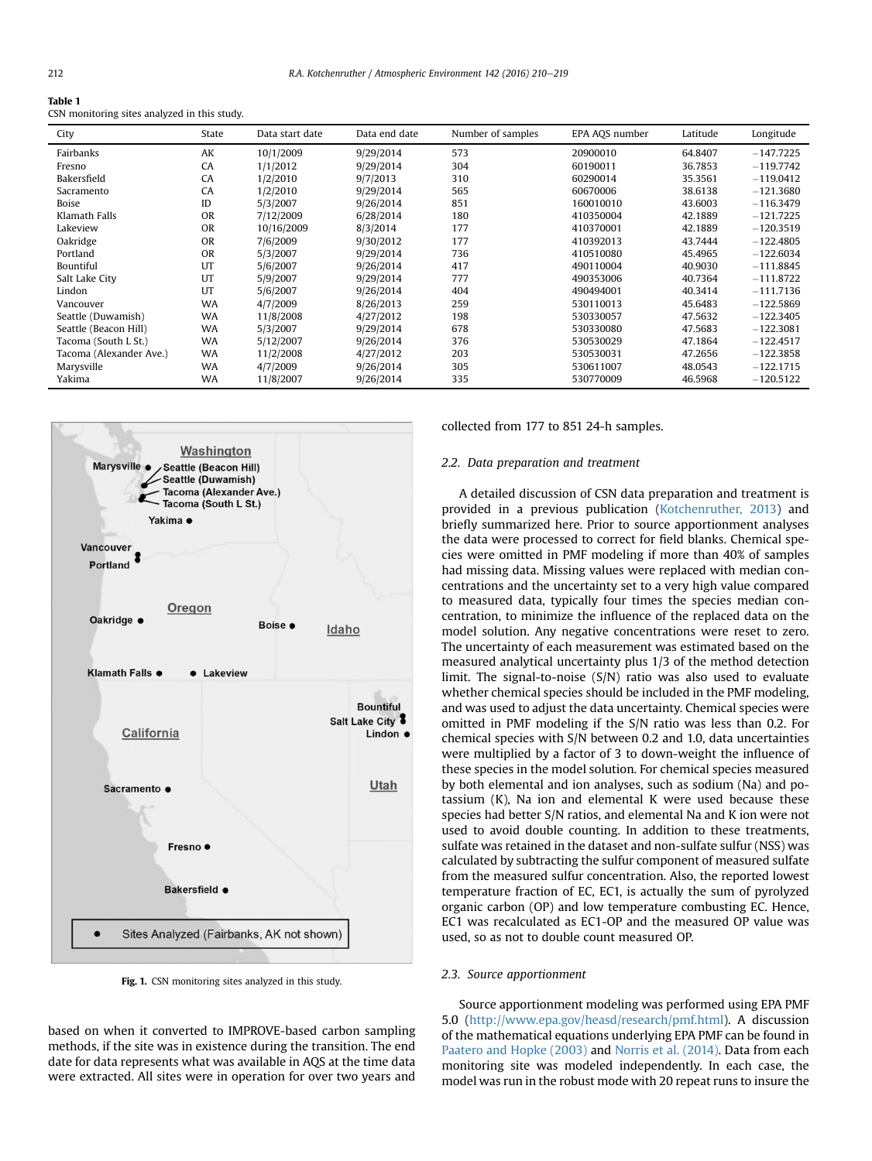#### <span id="page-2-0"></span>Table 1

CSN monitoring sites analyzed in this study.

| City                    | State     | Data start date | Data end date | Number of samples | EPA AQS number | Latitude | Longitude   |
|-------------------------|-----------|-----------------|---------------|-------------------|----------------|----------|-------------|
| Fairbanks               | AK        | 10/1/2009       | 9/29/2014     | 573               | 20900010       | 64.8407  | $-147.7225$ |
| Fresno                  | CA        | 1/1/2012        | 9/29/2014     | 304               | 60190011       | 36.7853  | $-119.7742$ |
| Bakersfield             | CA        | 1/2/2010        | 9/7/2013      | 310               | 60290014       | 35.3561  | $-119.0412$ |
| Sacramento              | CA        | 1/2/2010        | 9/29/2014     | 565               | 60670006       | 38.6138  | $-121.3680$ |
| Boise                   | ID        | 5/3/2007        | 9/26/2014     | 851               | 160010010      | 43.6003  | $-116.3479$ |
| Klamath Falls           | <b>OR</b> | 7/12/2009       | 6/28/2014     | 180               | 410350004      | 42.1889  | $-121.7225$ |
| Lakeview                | <b>OR</b> | 10/16/2009      | 8/3/2014      | 177               | 410370001      | 42.1889  | $-120.3519$ |
| Oakridge                | <b>OR</b> | 7/6/2009        | 9/30/2012     | 177               | 410392013      | 43.7444  | $-122.4805$ |
| Portland                | <b>OR</b> | 5/3/2007        | 9/29/2014     | 736               | 410510080      | 45.4965  | $-122.6034$ |
| Bountiful               | UT        | 5/6/2007        | 9/26/2014     | 417               | 490110004      | 40.9030  | $-111.8845$ |
| Salt Lake City          | UT        | 5/9/2007        | 9/29/2014     | 777               | 490353006      | 40.7364  | $-111.8722$ |
| Lindon                  | UT        | 5/6/2007        | 9/26/2014     | 404               | 490494001      | 40.3414  | $-111.7136$ |
| Vancouver               | <b>WA</b> | 4/7/2009        | 8/26/2013     | 259               | 530110013      | 45.6483  | $-122.5869$ |
| Seattle (Duwamish)      | WA        | 11/8/2008       | 4/27/2012     | 198               | 530330057      | 47.5632  | $-122.3405$ |
| Seattle (Beacon Hill)   | <b>WA</b> | 5/3/2007        | 9/29/2014     | 678               | 530330080      | 47.5683  | $-122.3081$ |
| Tacoma (South L St.)    | <b>WA</b> | 5/12/2007       | 9/26/2014     | 376               | 530530029      | 47.1864  | $-122.4517$ |
| Tacoma (Alexander Ave.) | <b>WA</b> | 11/2/2008       | 4/27/2012     | 203               | 530530031      | 47.2656  | $-122.3858$ |
| Marysville              | <b>WA</b> | 4/7/2009        | 9/26/2014     | 305               | 530611007      | 48.0543  | $-122.1715$ |
| Yakima                  | WA        | 11/8/2007       | 9/26/2014     | 335               | 530770009      | 46.5968  | $-120.5122$ |
|                         |           |                 |               |                   |                |          |             |



Fig. 1. CSN monitoring sites analyzed in this study.

based on when it converted to IMPROVE-based carbon sampling methods, if the site was in existence during the transition. The end date for data represents what was available in AQS at the time data were extracted. All sites were in operation for over two years and collected from 177 to 851 24-h samples.

#### 2.2. Data preparation and treatment

A detailed discussion of CSN data preparation and treatment is provided in a previous publication ([Kotchenruther, 2013\)](#page-8-0) and briefly summarized here. Prior to source apportionment analyses the data were processed to correct for field blanks. Chemical species were omitted in PMF modeling if more than 40% of samples had missing data. Missing values were replaced with median concentrations and the uncertainty set to a very high value compared to measured data, typically four times the species median concentration, to minimize the influence of the replaced data on the model solution. Any negative concentrations were reset to zero. The uncertainty of each measurement was estimated based on the measured analytical uncertainty plus 1/3 of the method detection limit. The signal-to-noise (S/N) ratio was also used to evaluate whether chemical species should be included in the PMF modeling, and was used to adjust the data uncertainty. Chemical species were omitted in PMF modeling if the S/N ratio was less than 0.2. For chemical species with S/N between 0.2 and 1.0, data uncertainties were multiplied by a factor of 3 to down-weight the influence of these species in the model solution. For chemical species measured by both elemental and ion analyses, such as sodium (Na) and potassium (K), Na ion and elemental K were used because these species had better S/N ratios, and elemental Na and K ion were not used to avoid double counting. In addition to these treatments, sulfate was retained in the dataset and non-sulfate sulfur (NSS) was calculated by subtracting the sulfur component of measured sulfate from the measured sulfur concentration. Also, the reported lowest temperature fraction of EC, EC1, is actually the sum of pyrolyzed organic carbon (OP) and low temperature combusting EC. Hence, EC1 was recalculated as EC1-OP and the measured OP value was used, so as not to double count measured OP.

#### 2.3. Source apportionment

Source apportionment modeling was performed using EPA PMF 5.0 (<http://www.epa.gov/heasd/research/pmf.html>). A discussion of the mathematical equations underlying EPA PMF can be found in [Paatero and Hopke \(2003\)](#page-8-0) and [Norris et al. \(2014\).](#page-8-0) Data from each monitoring site was modeled independently. In each case, the model was run in the robust mode with 20 repeat runs to insure the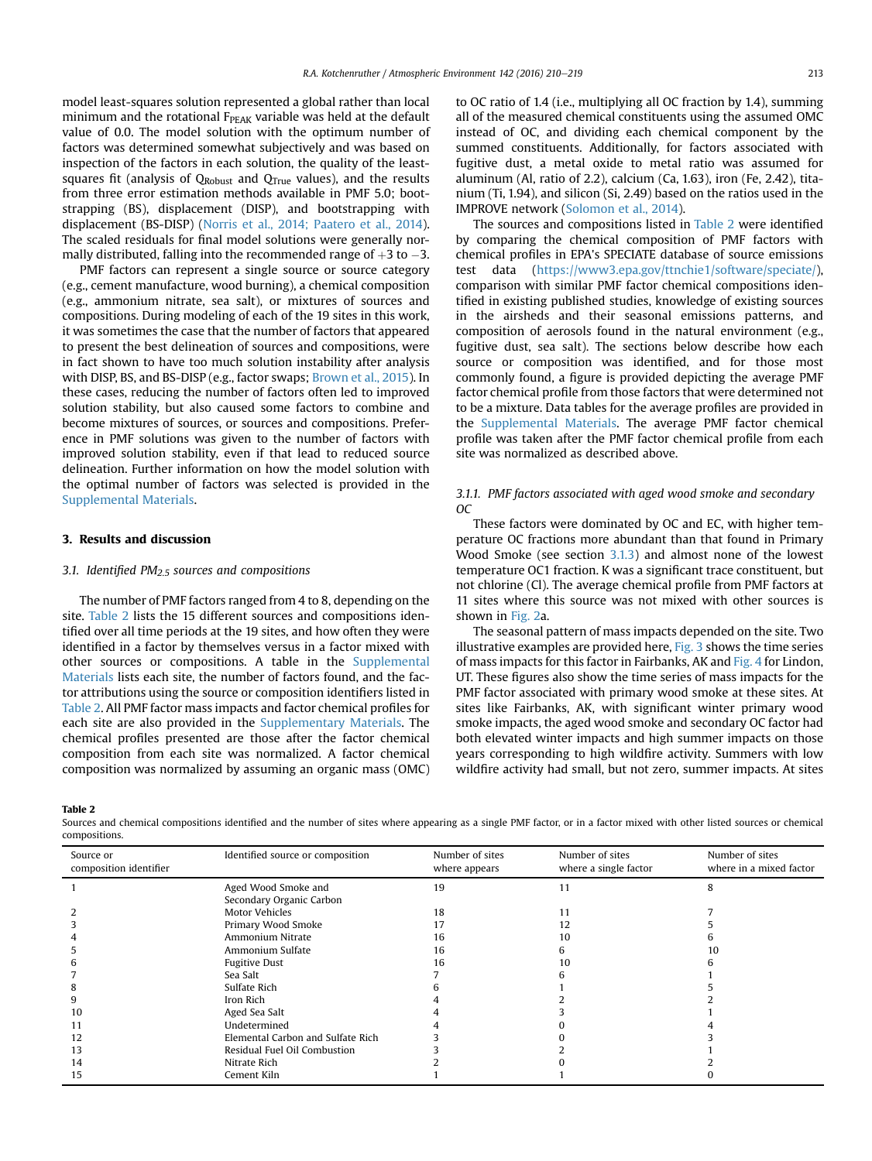model least-squares solution represented a global rather than local minimum and the rotational FPEAK variable was held at the default value of 0.0. The model solution with the optimum number of factors was determined somewhat subjectively and was based on inspection of the factors in each solution, the quality of the leastsquares fit (analysis of  $Q_{Robust}$  and  $Q_{True}$  values), and the results from three error estimation methods available in PMF 5.0; bootstrapping (BS), displacement (DISP), and bootstrapping with displacement (BS-DISP) ([Norris et al., 2014; Paatero et al., 2014\)](#page-8-0). The scaled residuals for final model solutions were generally normally distributed, falling into the recommended range of  $+3$  to  $-3$ .

PMF factors can represent a single source or source category (e.g., cement manufacture, wood burning), a chemical composition (e.g., ammonium nitrate, sea salt), or mixtures of sources and compositions. During modeling of each of the 19 sites in this work, it was sometimes the case that the number of factors that appeared to present the best delineation of sources and compositions, were in fact shown to have too much solution instability after analysis with DISP, BS, and BS-DISP (e.g., factor swaps; [Brown et al., 2015](#page-8-0)). In these cases, reducing the number of factors often led to improved solution stability, but also caused some factors to combine and become mixtures of sources, or sources and compositions. Preference in PMF solutions was given to the number of factors with improved solution stability, even if that lead to reduced source delineation. Further information on how the model solution with the optimal number of factors was selected is provided in the Supplemental Materials.

#### 3. Results and discussion

#### 3.1. Identified  $PM<sub>2.5</sub>$  sources and compositions

The number of PMF factors ranged from 4 to 8, depending on the site. Table 2 lists the 15 different sources and compositions identified over all time periods at the 19 sites, and how often they were identified in a factor by themselves versus in a factor mixed with other sources or compositions. A table in the Supplemental Materials lists each site, the number of factors found, and the factor attributions using the source or composition identifiers listed in Table 2. All PMF factor mass impacts and factor chemical profiles for each site are also provided in the Supplementary Materials. The chemical profiles presented are those after the factor chemical composition from each site was normalized. A factor chemical composition was normalized by assuming an organic mass (OMC) to OC ratio of 1.4 (i.e., multiplying all OC fraction by 1.4), summing all of the measured chemical constituents using the assumed OMC instead of OC, and dividing each chemical component by the summed constituents. Additionally, for factors associated with fugitive dust, a metal oxide to metal ratio was assumed for aluminum (Al, ratio of 2.2), calcium (Ca, 1.63), iron (Fe, 2.42), titanium (Ti, 1.94), and silicon (Si, 2.49) based on the ratios used in the IMPROVE network ([Solomon et al., 2014](#page-9-0)).

The sources and compositions listed in Table 2 were identified by comparing the chemical composition of PMF factors with chemical profiles in EPA's SPECIATE database of source emissions test data ([https://www3.epa.gov/ttnchie1/software/speciate/\)](https://www3.epa.gov/ttnchie1/software/speciate/), comparison with similar PMF factor chemical compositions identified in existing published studies, knowledge of existing sources in the airsheds and their seasonal emissions patterns, and composition of aerosols found in the natural environment (e.g., fugitive dust, sea salt). The sections below describe how each source or composition was identified, and for those most commonly found, a figure is provided depicting the average PMF factor chemical profile from those factors that were determined not to be a mixture. Data tables for the average profiles are provided in the Supplemental Materials. The average PMF factor chemical profile was taken after the PMF factor chemical profile from each site was normalized as described above.

#### 3.1.1. PMF factors associated with aged wood smoke and secondary OC

These factors were dominated by OC and EC, with higher temperature OC fractions more abundant than that found in Primary Wood Smoke (see section [3.1.3\)](#page-6-0) and almost none of the lowest temperature OC1 fraction. K was a significant trace constituent, but not chlorine (Cl). The average chemical profile from PMF factors at 11 sites where this source was not mixed with other sources is shown in [Fig. 2](#page-4-0)a.

The seasonal pattern of mass impacts depended on the site. Two illustrative examples are provided here, [Fig. 3](#page-5-0) shows the time series of mass impacts for this factor in Fairbanks, AK and [Fig. 4](#page-5-0) for Lindon, UT. These figures also show the time series of mass impacts for the PMF factor associated with primary wood smoke at these sites. At sites like Fairbanks, AK, with significant winter primary wood smoke impacts, the aged wood smoke and secondary OC factor had both elevated winter impacts and high summer impacts on those years corresponding to high wildfire activity. Summers with low wildfire activity had small, but not zero, summer impacts. At sites

Table 2

Sources and chemical compositions identified and the number of sites where appearing as a single PMF factor, or in a factor mixed with other listed sources or chemical compositions.

| Source or<br>composition identifier | Identified source or composition  | Number of sites<br>where appears | Number of sites<br>where a single factor | Number of sites<br>where in a mixed factor |
|-------------------------------------|-----------------------------------|----------------------------------|------------------------------------------|--------------------------------------------|
|                                     | Aged Wood Smoke and               | 19                               | 11                                       | 8                                          |
|                                     | Secondary Organic Carbon          |                                  |                                          |                                            |
|                                     | Motor Vehicles                    | 18                               | 11                                       |                                            |
|                                     | Primary Wood Smoke                |                                  |                                          |                                            |
|                                     | Ammonium Nitrate                  | 16                               | 10                                       |                                            |
|                                     | Ammonium Sulfate                  | 16                               |                                          |                                            |
|                                     | <b>Fugitive Dust</b>              | l 6                              |                                          |                                            |
|                                     | Sea Salt                          |                                  |                                          |                                            |
|                                     | Sulfate Rich                      |                                  |                                          |                                            |
|                                     | Iron Rich                         |                                  |                                          |                                            |
| 10                                  | Aged Sea Salt                     |                                  |                                          |                                            |
| 11                                  | Undetermined                      |                                  |                                          |                                            |
| 12                                  | Elemental Carbon and Sulfate Rich |                                  |                                          |                                            |
| 13                                  | Residual Fuel Oil Combustion      |                                  |                                          |                                            |
| 14                                  | Nitrate Rich                      |                                  |                                          |                                            |
| 15                                  | Cement Kiln                       |                                  |                                          |                                            |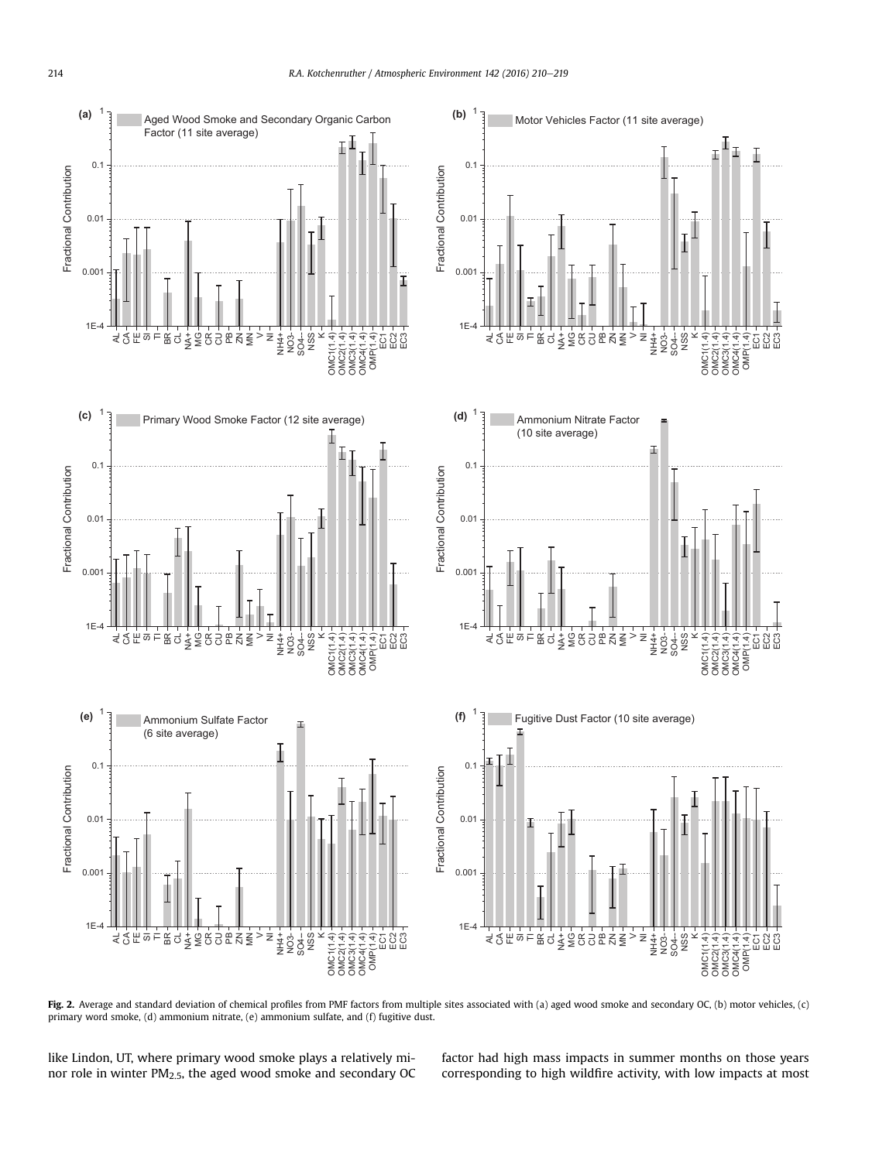<span id="page-4-0"></span>

Fig. 2. Average and standard deviation of chemical profiles from PMF factors from multiple sites associated with (a) aged wood smoke and secondary OC, (b) motor vehicles, (c) primary word smoke, (d) ammonium nitrate, (e) ammonium sulfate, and (f) fugitive dust.

like Lindon, UT, where primary wood smoke plays a relatively minor role in winter  $PM<sub>2.5</sub>$ , the aged wood smoke and secondary OC factor had high mass impacts in summer months on those years corresponding to high wildfire activity, with low impacts at most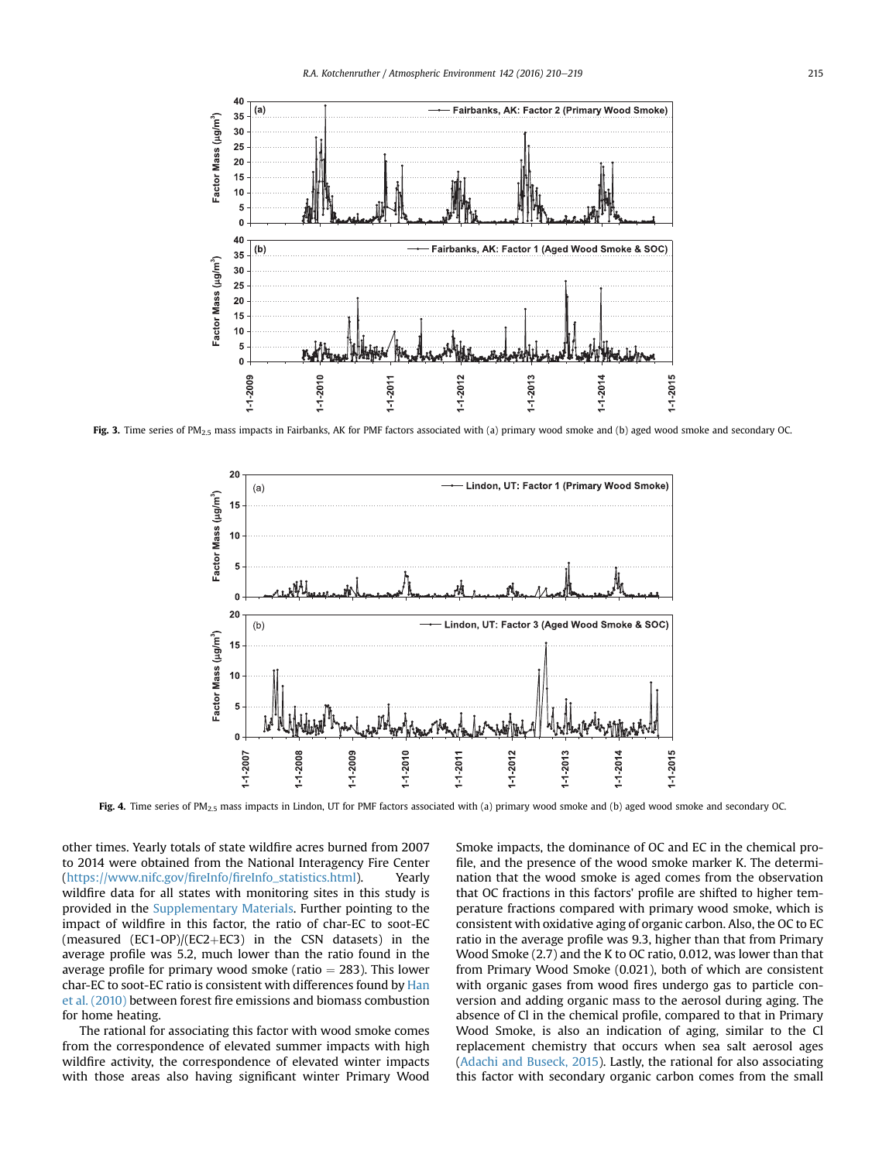<span id="page-5-0"></span>

Fig. 3. Time series of PM<sub>2.5</sub> mass impacts in Fairbanks, AK for PMF factors associated with (a) primary wood smoke and (b) aged wood smoke and secondary OC.



Fig. 4. Time series of PM<sub>2.5</sub> mass impacts in Lindon, UT for PMF factors associated with (a) primary wood smoke and (b) aged wood smoke and secondary OC.

other times. Yearly totals of state wildfire acres burned from 2007 to 2014 were obtained from the National Interagency Fire Center ([https://www.nifc.gov/](https://www.nifc.gov/fireInfo/fireInfo_statistics.html)fireInfo/fireInfo\_statistics.html). Yearly wildfire data for all states with monitoring sites in this study is provided in the Supplementary Materials. Further pointing to the impact of wildfire in this factor, the ratio of char-EC to soot-EC (measured  $(EC1-OP)/(EC2+EC3)$  in the CSN datasets) in the average profile was 5.2, much lower than the ratio found in the average profile for primary wood smoke (ratio  $= 283$ ). This lower char-EC to soot-EC ratio is consistent with differences found by [Han](#page-8-0) [et al. \(2010\)](#page-8-0) between forest fire emissions and biomass combustion for home heating.

The rational for associating this factor with wood smoke comes from the correspondence of elevated summer impacts with high wildfire activity, the correspondence of elevated winter impacts with those areas also having significant winter Primary Wood Smoke impacts, the dominance of OC and EC in the chemical profile, and the presence of the wood smoke marker K. The determination that the wood smoke is aged comes from the observation that OC fractions in this factors' profile are shifted to higher temperature fractions compared with primary wood smoke, which is consistent with oxidative aging of organic carbon. Also, the OC to EC ratio in the average profile was 9.3, higher than that from Primary Wood Smoke (2.7) and the K to OC ratio, 0.012, was lower than that from Primary Wood Smoke (0.021), both of which are consistent with organic gases from wood fires undergo gas to particle conversion and adding organic mass to the aerosol during aging. The absence of Cl in the chemical profile, compared to that in Primary Wood Smoke, is also an indication of aging, similar to the Cl replacement chemistry that occurs when sea salt aerosol ages ([Adachi and Buseck, 2015](#page-8-0)). Lastly, the rational for also associating this factor with secondary organic carbon comes from the small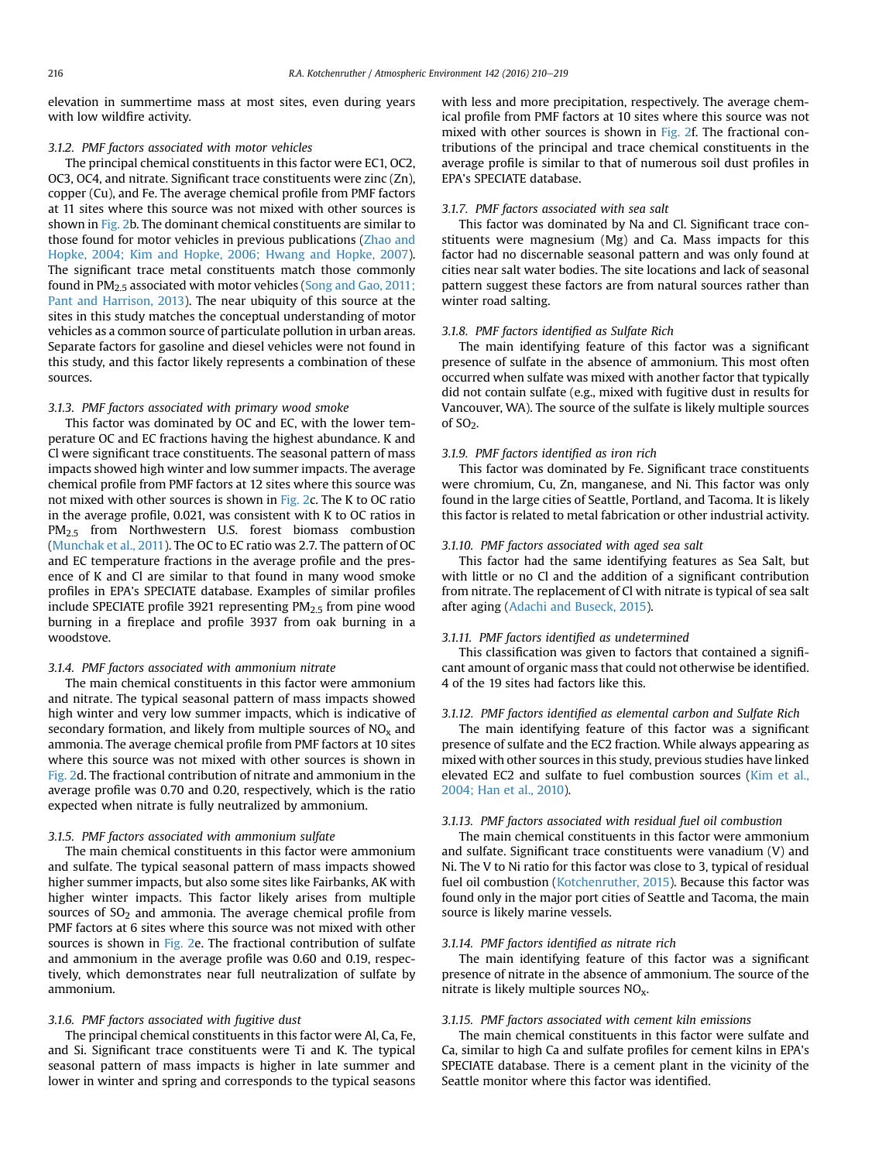<span id="page-6-0"></span>elevation in summertime mass at most sites, even during years with low wildfire activity.

#### 3.1.2. PMF factors associated with motor vehicles

The principal chemical constituents in this factor were EC1, OC2, OC3, OC4, and nitrate. Significant trace constituents were zinc (Zn), copper (Cu), and Fe. The average chemical profile from PMF factors at 11 sites where this source was not mixed with other sources is shown in [Fig. 2](#page-4-0)b. The dominant chemical constituents are similar to those found for motor vehicles in previous publications ([Zhao and](#page-9-0) [Hopke, 2004; Kim and Hopke, 2006; Hwang and Hopke, 2007\)](#page-9-0). The significant trace metal constituents match those commonly found in PM<sub>2.5</sub> associated with motor vehicles ([Song and Gao, 2011;](#page-9-0) [Pant and Harrison, 2013](#page-9-0)). The near ubiquity of this source at the sites in this study matches the conceptual understanding of motor vehicles as a common source of particulate pollution in urban areas. Separate factors for gasoline and diesel vehicles were not found in this study, and this factor likely represents a combination of these sources.

#### 3.1.3. PMF factors associated with primary wood smoke

This factor was dominated by OC and EC, with the lower temperature OC and EC fractions having the highest abundance. K and Cl were significant trace constituents. The seasonal pattern of mass impacts showed high winter and low summer impacts. The average chemical profile from PMF factors at 12 sites where this source was not mixed with other sources is shown in [Fig. 2c](#page-4-0). The K to OC ratio in the average profile, 0.021, was consistent with K to OC ratios in PM2.5 from Northwestern U.S. forest biomass combustion ([Munchak et al., 2011](#page-8-0)). The OC to EC ratio was 2.7. The pattern of OC and EC temperature fractions in the average profile and the presence of K and Cl are similar to that found in many wood smoke profiles in EPA's SPECIATE database. Examples of similar profiles include SPECIATE profile 3921 representing  $PM<sub>2.5</sub>$  from pine wood burning in a fireplace and profile 3937 from oak burning in a woodstove.

#### 3.1.4. PMF factors associated with ammonium nitrate

The main chemical constituents in this factor were ammonium and nitrate. The typical seasonal pattern of mass impacts showed high winter and very low summer impacts, which is indicative of secondary formation, and likely from multiple sources of  $NO<sub>x</sub>$  and ammonia. The average chemical profile from PMF factors at 10 sites where this source was not mixed with other sources is shown in [Fig. 2](#page-4-0)d. The fractional contribution of nitrate and ammonium in the average profile was 0.70 and 0.20, respectively, which is the ratio expected when nitrate is fully neutralized by ammonium.

#### 3.1.5. PMF factors associated with ammonium sulfate

The main chemical constituents in this factor were ammonium and sulfate. The typical seasonal pattern of mass impacts showed higher summer impacts, but also some sites like Fairbanks, AK with higher winter impacts. This factor likely arises from multiple sources of  $SO<sub>2</sub>$  and ammonia. The average chemical profile from PMF factors at 6 sites where this source was not mixed with other sources is shown in [Fig. 2](#page-4-0)e. The fractional contribution of sulfate and ammonium in the average profile was 0.60 and 0.19, respectively, which demonstrates near full neutralization of sulfate by ammonium.

#### 3.1.6. PMF factors associated with fugitive dust

The principal chemical constituents in this factor were Al, Ca, Fe, and Si. Significant trace constituents were Ti and K. The typical seasonal pattern of mass impacts is higher in late summer and lower in winter and spring and corresponds to the typical seasons with less and more precipitation, respectively. The average chemical profile from PMF factors at 10 sites where this source was not mixed with other sources is shown in [Fig. 2](#page-4-0)f. The fractional contributions of the principal and trace chemical constituents in the average profile is similar to that of numerous soil dust profiles in EPA's SPECIATE database.

#### 3.1.7. PMF factors associated with sea salt

This factor was dominated by Na and Cl. Significant trace constituents were magnesium (Mg) and Ca. Mass impacts for this factor had no discernable seasonal pattern and was only found at cities near salt water bodies. The site locations and lack of seasonal pattern suggest these factors are from natural sources rather than winter road salting.

#### 3.1.8. PMF factors identified as Sulfate Rich

The main identifying feature of this factor was a significant presence of sulfate in the absence of ammonium. This most often occurred when sulfate was mixed with another factor that typically did not contain sulfate (e.g., mixed with fugitive dust in results for Vancouver, WA). The source of the sulfate is likely multiple sources of  $SO<sub>2</sub>$ .

#### 3.1.9. PMF factors identified as iron rich

This factor was dominated by Fe. Significant trace constituents were chromium, Cu, Zn, manganese, and Ni. This factor was only found in the large cities of Seattle, Portland, and Tacoma. It is likely this factor is related to metal fabrication or other industrial activity.

#### 3.1.10. PMF factors associated with aged sea salt

This factor had the same identifying features as Sea Salt, but with little or no Cl and the addition of a significant contribution from nitrate. The replacement of Cl with nitrate is typical of sea salt after aging ([Adachi and Buseck, 2015\)](#page-8-0).

#### 3.1.11. PMF factors identified as undetermined

This classification was given to factors that contained a significant amount of organic mass that could not otherwise be identified. 4 of the 19 sites had factors like this.

#### 3.1.12. PMF factors identified as elemental carbon and Sulfate Rich

The main identifying feature of this factor was a significant presence of sulfate and the EC2 fraction. While always appearing as mixed with other sources in this study, previous studies have linked elevated EC2 and sulfate to fuel combustion sources ([Kim et al.,](#page-8-0) [2004; Han et al., 2010](#page-8-0)).

#### 3.1.13. PMF factors associated with residual fuel oil combustion

The main chemical constituents in this factor were ammonium and sulfate. Significant trace constituents were vanadium (V) and Ni. The V to Ni ratio for this factor was close to 3, typical of residual fuel oil combustion [\(Kotchenruther, 2015](#page-8-0)). Because this factor was found only in the major port cities of Seattle and Tacoma, the main source is likely marine vessels.

#### 3.1.14. PMF factors identified as nitrate rich

The main identifying feature of this factor was a significant presence of nitrate in the absence of ammonium. The source of the nitrate is likely multiple sources  $NO<sub>x</sub>$ .

#### 3.1.15. PMF factors associated with cement kiln emissions

The main chemical constituents in this factor were sulfate and Ca, similar to high Ca and sulfate profiles for cement kilns in EPA's SPECIATE database. There is a cement plant in the vicinity of the Seattle monitor where this factor was identified.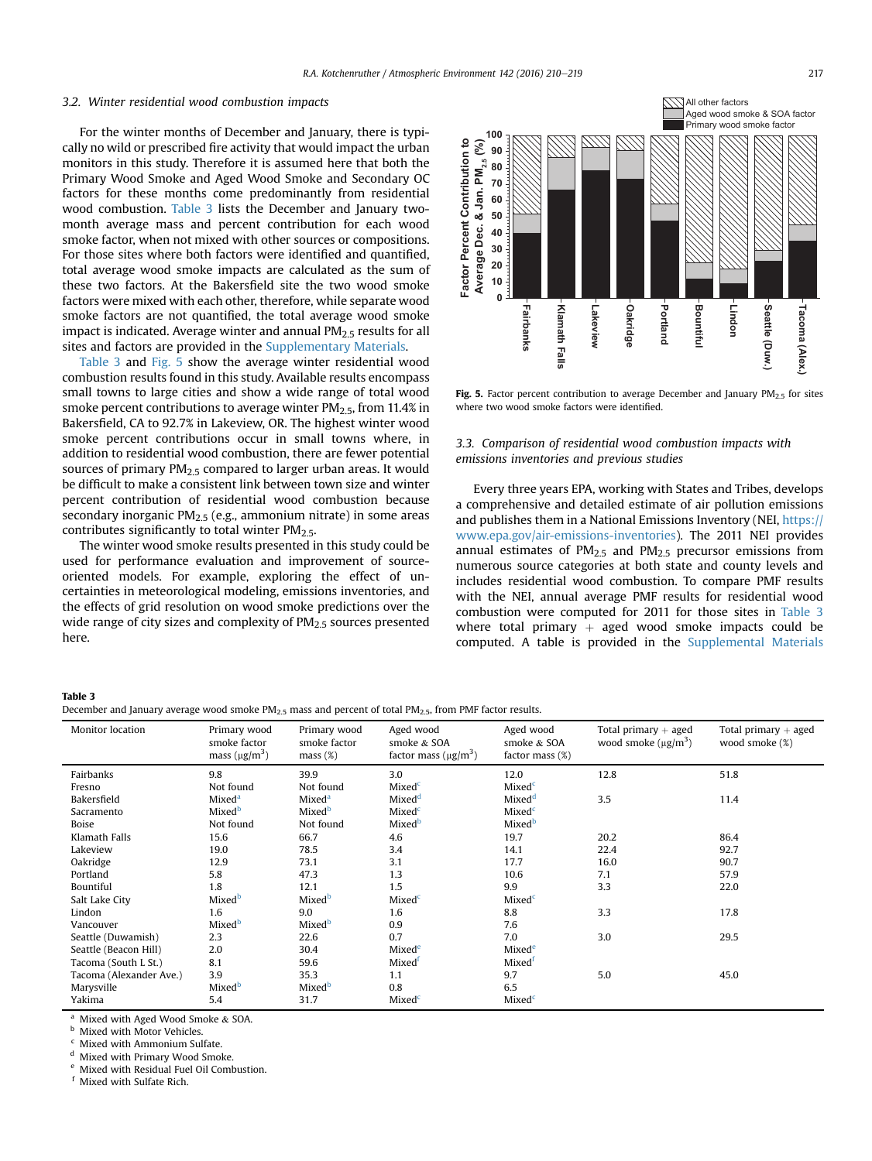#### 3.2. Winter residential wood combustion impacts

For the winter months of December and January, there is typically no wild or prescribed fire activity that would impact the urban monitors in this study. Therefore it is assumed here that both the Primary Wood Smoke and Aged Wood Smoke and Secondary OC factors for these months come predominantly from residential wood combustion. Table 3 lists the December and January twomonth average mass and percent contribution for each wood smoke factor, when not mixed with other sources or compositions. For those sites where both factors were identified and quantified, total average wood smoke impacts are calculated as the sum of these two factors. At the Bakersfield site the two wood smoke factors were mixed with each other, therefore, while separate wood smoke factors are not quantified, the total average wood smoke impact is indicated. Average winter and annual  $PM<sub>25</sub>$  results for all sites and factors are provided in the Supplementary Materials.

Table 3 and Fig. 5 show the average winter residential wood combustion results found in this study. Available results encompass small towns to large cities and show a wide range of total wood smoke percent contributions to average winter  $PM<sub>2.5</sub>$ , from 11.4% in Bakersfield, CA to 92.7% in Lakeview, OR. The highest winter wood smoke percent contributions occur in small towns where, in addition to residential wood combustion, there are fewer potential sources of primary  $PM<sub>2.5</sub>$  compared to larger urban areas. It would be difficult to make a consistent link between town size and winter percent contribution of residential wood combustion because secondary inorganic  $PM<sub>2.5</sub>$  (e.g., ammonium nitrate) in some areas contributes significantly to total winter  $PM<sub>2.5</sub>$ .

The winter wood smoke results presented in this study could be used for performance evaluation and improvement of sourceoriented models. For example, exploring the effect of uncertainties in meteorological modeling, emissions inventories, and the effects of grid resolution on wood smoke predictions over the wide range of city sizes and complexity of  $PM<sub>2.5</sub>$  sources presented here.



Fig. 5. Factor percent contribution to average December and January  $PM_{2.5}$  for sites where two wood smoke factors were identified.

#### 3.3. Comparison of residential wood combustion impacts with emissions inventories and previous studies

Every three years EPA, working with States and Tribes, develops a comprehensive and detailed estimate of air pollution emissions and publishes them in a National Emissions Inventory (NEI, [https://](https://www.epa.gov/air-emissions-inventories) [www.epa.gov/air-emissions-inventories\)](https://www.epa.gov/air-emissions-inventories). The 2011 NEI provides annual estimates of  $PM<sub>2.5</sub>$  and  $PM<sub>2.5</sub>$  precursor emissions from numerous source categories at both state and county levels and includes residential wood combustion. To compare PMF results with the NEI, annual average PMF results for residential wood combustion were computed for 2011 for those sites in Table 3 where total primary  $+$  aged wood smoke impacts could be computed. A table is provided in the Supplemental Materials

#### Table 3

```
December and January average wood smoke PM<sub>2.5</sub> mass and percent of total PM<sub>2.5</sub>, from PMF factor results.
```

| Monitor location        | Primary wood<br>smoke factor<br>mass $(\mu g/m^3)$ | Primary wood<br>smoke factor<br>mass (%) | Aged wood<br>smoke & SOA<br>factor mass $(\mu g/m^3)$ | Aged wood<br>smoke & SOA<br>factor mass $(\%)$ | Total primary $+$ aged<br>wood smoke $(\mu g/m^3)$ | Total primary $+$ aged<br>wood smoke (%) |
|-------------------------|----------------------------------------------------|------------------------------------------|-------------------------------------------------------|------------------------------------------------|----------------------------------------------------|------------------------------------------|
| Fairbanks               | 9.8                                                | 39.9                                     | 3.0                                                   | 12.0                                           | 12.8                                               | 51.8                                     |
| Fresno                  | Not found                                          | Not found                                | Mixed <sup>c</sup>                                    | Mixed <sup>c</sup>                             |                                                    |                                          |
| Bakersfield             | Mixed <sup>a</sup>                                 | Mixed <sup>a</sup>                       | Mixed <sup>d</sup>                                    | Mixed <sup>d</sup>                             | 3.5                                                | 11.4                                     |
| Sacramento              | Mixedb                                             | Mixedb                                   | Mixed <sup>c</sup>                                    | Mixed <sup>c</sup>                             |                                                    |                                          |
| Boise                   | Not found                                          | Not found                                | Mixedb                                                | Mixed <sup>b</sup>                             |                                                    |                                          |
| Klamath Falls           | 15.6                                               | 66.7                                     | 4.6                                                   | 19.7                                           | 20.2                                               | 86.4                                     |
| Lakeview                | 19.0                                               | 78.5                                     | 3.4                                                   | 14.1                                           | 22.4                                               | 92.7                                     |
| Oakridge                | 12.9                                               | 73.1                                     | 3.1                                                   | 17.7                                           | 16.0                                               | 90.7                                     |
| Portland                | 5.8                                                | 47.3                                     | 1.3                                                   | 10.6                                           | 7.1                                                | 57.9                                     |
| Bountiful               | 1.8                                                | 12.1                                     | 1.5                                                   | 9.9                                            | 3.3                                                | 22.0                                     |
| Salt Lake City          | Mixedb                                             | Mixedb                                   | Mixed <sup>c</sup>                                    | Mixed <sup>c</sup>                             |                                                    |                                          |
| Lindon                  | 1.6                                                | 9.0                                      | 1.6                                                   | 8.8                                            | 3.3                                                | 17.8                                     |
| Vancouver               | Mixed <sup>b</sup>                                 | Mixed <sup>b</sup>                       | 0.9                                                   | 7.6                                            |                                                    |                                          |
| Seattle (Duwamish)      | 2.3                                                | 22.6                                     | 0.7                                                   | 7.0                                            | 3.0                                                | 29.5                                     |
| Seattle (Beacon Hill)   | 2.0                                                | 30.4                                     | Mixed <sup>e</sup>                                    | Mixed <sup>e</sup>                             |                                                    |                                          |
| Tacoma (South L St.)    | 8.1                                                | 59.6                                     | Mixed <sup>f</sup>                                    | Mixed <sup>f</sup>                             |                                                    |                                          |
| Tacoma (Alexander Ave.) | 3.9                                                | 35.3                                     | 1.1                                                   | 9.7                                            | 5.0                                                | 45.0                                     |
| Marysville              | Mixed <sup>b</sup>                                 | Mixed <sup>b</sup>                       | 0.8                                                   | 6.5                                            |                                                    |                                          |
| Yakima                  | 5.4                                                | 31.7                                     | Mixed <sup>c</sup>                                    | Mixed <sup>c</sup>                             |                                                    |                                          |

Mixed with Aged Wood Smoke & SOA.

Mixed with Motor Vehicles.

<sup>c</sup> Mixed with Ammonium Sulfate.

Mixed with Primary Wood Smoke.

Mixed with Residual Fuel Oil Combustion.

Mixed with Sulfate Rich.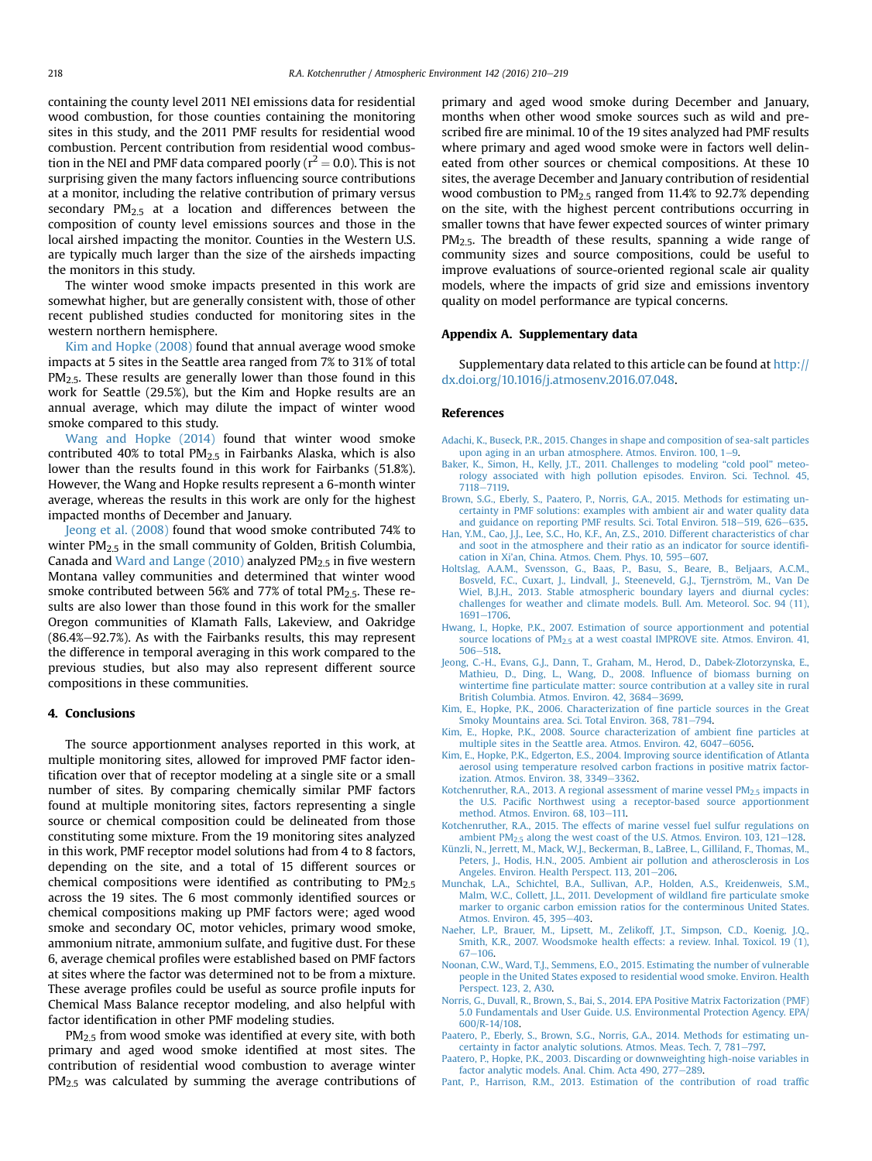<span id="page-8-0"></span>containing the county level 2011 NEI emissions data for residential wood combustion, for those counties containing the monitoring sites in this study, and the 2011 PMF results for residential wood combustion. Percent contribution from residential wood combustion in the NEI and PMF data compared poorly ( $r^2 = 0.0$ ). This is not surprising given the many factors influencing source contributions at a monitor, including the relative contribution of primary versus secondary  $PM<sub>2.5</sub>$  at a location and differences between the composition of county level emissions sources and those in the local airshed impacting the monitor. Counties in the Western U.S. are typically much larger than the size of the airsheds impacting the monitors in this study.

The winter wood smoke impacts presented in this work are somewhat higher, but are generally consistent with, those of other recent published studies conducted for monitoring sites in the western northern hemisphere.

Kim and Hopke (2008) found that annual average wood smoke impacts at 5 sites in the Seattle area ranged from 7% to 31% of total PM<sub>2.5</sub>. These results are generally lower than those found in this work for Seattle (29.5%), but the Kim and Hopke results are an annual average, which may dilute the impact of winter wood smoke compared to this study.

[Wang and Hopke \(2014\)](#page-9-0) found that winter wood smoke contributed 40% to total  $PM<sub>2.5</sub>$  in Fairbanks Alaska, which is also lower than the results found in this work for Fairbanks (51.8%). However, the Wang and Hopke results represent a 6-month winter average, whereas the results in this work are only for the highest impacted months of December and January.

Jeong et al. (2008) found that wood smoke contributed 74% to winter PM<sub>2.5</sub> in the small community of Golden, British Columbia, Canada and Ward and Lange  $(2010)$  analyzed PM<sub>2.5</sub> in five western Montana valley communities and determined that winter wood smoke contributed between 56% and 77% of total  $PM_{2.5}$ . These results are also lower than those found in this work for the smaller Oregon communities of Klamath Falls, Lakeview, and Oakridge  $(86.4\% - 92.7\%)$ . As with the Fairbanks results, this may represent the difference in temporal averaging in this work compared to the previous studies, but also may also represent different source compositions in these communities.

#### 4. Conclusions

The source apportionment analyses reported in this work, at multiple monitoring sites, allowed for improved PMF factor identification over that of receptor modeling at a single site or a small number of sites. By comparing chemically similar PMF factors found at multiple monitoring sites, factors representing a single source or chemical composition could be delineated from those constituting some mixture. From the 19 monitoring sites analyzed in this work, PMF receptor model solutions had from 4 to 8 factors, depending on the site, and a total of 15 different sources or chemical compositions were identified as contributing to PM2.5 across the 19 sites. The 6 most commonly identified sources or chemical compositions making up PMF factors were; aged wood smoke and secondary OC, motor vehicles, primary wood smoke, ammonium nitrate, ammonium sulfate, and fugitive dust. For these 6, average chemical profiles were established based on PMF factors at sites where the factor was determined not to be from a mixture. These average profiles could be useful as source profile inputs for Chemical Mass Balance receptor modeling, and also helpful with factor identification in other PMF modeling studies.

PM<sub>2.5</sub> from wood smoke was identified at every site, with both primary and aged wood smoke identified at most sites. The contribution of residential wood combustion to average winter PM<sub>2.5</sub> was calculated by summing the average contributions of primary and aged wood smoke during December and January, months when other wood smoke sources such as wild and prescribed fire are minimal. 10 of the 19 sites analyzed had PMF results where primary and aged wood smoke were in factors well delineated from other sources or chemical compositions. At these 10 sites, the average December and January contribution of residential wood combustion to  $PM<sub>2.5</sub>$  ranged from 11.4% to 92.7% depending on the site, with the highest percent contributions occurring in smaller towns that have fewer expected sources of winter primary PM<sub>2.5</sub>. The breadth of these results, spanning a wide range of community sizes and source compositions, could be useful to improve evaluations of source-oriented regional scale air quality models, where the impacts of grid size and emissions inventory quality on model performance are typical concerns.

#### Appendix A. Supplementary data

Supplementary data related to this article can be found at [http://](http://dx.doi.org/10.1016/j.atmosenv.2016.07.048) [dx.doi.org/10.1016/j.atmosenv.2016.07.048.](http://dx.doi.org/10.1016/j.atmosenv.2016.07.048)

#### References

- [Adachi, K., Buseck, P.R., 2015. Changes in shape and composition of sea-salt particles](http://refhub.elsevier.com/S1352-2310(16)30568-4/sref1) [upon aging in an urban atmosphere. Atmos. Environ. 100, 1](http://refhub.elsevier.com/S1352-2310(16)30568-4/sref1)-[9](http://refhub.elsevier.com/S1352-2310(16)30568-4/sref1).
- [Baker, K., Simon, H., Kelly, J.T., 2011. Challenges to modeling](http://refhub.elsevier.com/S1352-2310(16)30568-4/sref2) "cold pool" meteo[rology associated with high pollution episodes. Environ. Sci. Technol. 45,](http://refhub.elsevier.com/S1352-2310(16)30568-4/sref2) [7118](http://refhub.elsevier.com/S1352-2310(16)30568-4/sref2)-[7119](http://refhub.elsevier.com/S1352-2310(16)30568-4/sref2).
- [Brown, S.G., Eberly, S., Paatero, P., Norris, G.A., 2015. Methods for estimating un](http://refhub.elsevier.com/S1352-2310(16)30568-4/sref3)[certainty in PMF solutions: examples with ambient air and water quality data](http://refhub.elsevier.com/S1352-2310(16)30568-4/sref3) [and guidance on reporting PMF results. Sci. Total Environ. 518](http://refhub.elsevier.com/S1352-2310(16)30568-4/sref3)-[519, 626](http://refhub.elsevier.com/S1352-2310(16)30568-4/sref3)-[635](http://refhub.elsevier.com/S1352-2310(16)30568-4/sref3).
- [Han, Y.M., Cao, J.J., Lee, S.C., Ho, K.F., An, Z.S., 2010. Different characteristics of char](http://refhub.elsevier.com/S1352-2310(16)30568-4/sref4) [and soot in the atmosphere and their ratio as an indicator for source identi](http://refhub.elsevier.com/S1352-2310(16)30568-4/sref4)fication in Xi'[an, China. Atmos. Chem. Phys. 10, 595](http://refhub.elsevier.com/S1352-2310(16)30568-4/sref4)-[607.](http://refhub.elsevier.com/S1352-2310(16)30568-4/sref4)
- [Holtslag, A.A.M., Svensson, G., Baas, P., Basu, S., Beare, B., Beljaars, A.C.M.,](http://refhub.elsevier.com/S1352-2310(16)30568-4/sref5) Bosveld, F.C., Cuxart, J., Lindvall, J., Steeneveld, G.J., Tjernström, M., Van De [Wiel, B.J.H., 2013. Stable atmospheric boundary layers and diurnal cycles:](http://refhub.elsevier.com/S1352-2310(16)30568-4/sref5) [challenges for weather and climate models. Bull. Am. Meteorol. Soc. 94 \(11\),](http://refhub.elsevier.com/S1352-2310(16)30568-4/sref5) [1691](http://refhub.elsevier.com/S1352-2310(16)30568-4/sref5)-[1706](http://refhub.elsevier.com/S1352-2310(16)30568-4/sref5)
- [Hwang, I., Hopke, P.K., 2007. Estimation of source apportionment and potential](http://refhub.elsevier.com/S1352-2310(16)30568-4/sref6) source locations of PM<sub>2.5</sub> [at a west coastal IMPROVE site. Atmos. Environ. 41,](http://refhub.elsevier.com/S1352-2310(16)30568-4/sref6) [506](http://refhub.elsevier.com/S1352-2310(16)30568-4/sref6)-[518.](http://refhub.elsevier.com/S1352-2310(16)30568-4/sref6)
- [Jeong, C.-H., Evans, G.J., Dann, T., Graham, M., Herod, D., Dabek-Zlotorzynska, E.,](http://refhub.elsevier.com/S1352-2310(16)30568-4/sref7) [Mathieu, D., Ding, L., Wang, D., 2008. In](http://refhub.elsevier.com/S1352-2310(16)30568-4/sref7)fluence of biomass burning on wintertime fi[ne particulate matter: source contribution at a valley site in rural](http://refhub.elsevier.com/S1352-2310(16)30568-4/sref7) [British Columbia. Atmos. Environ. 42, 3684](http://refhub.elsevier.com/S1352-2310(16)30568-4/sref7)-[3699](http://refhub.elsevier.com/S1352-2310(16)30568-4/sref7).
- [Kim, E., Hopke, P.K., 2006. Characterization of](http://refhub.elsevier.com/S1352-2310(16)30568-4/sref8) fine particle sources in the Great [Smoky Mountains area. Sci. Total Environ. 368, 781](http://refhub.elsevier.com/S1352-2310(16)30568-4/sref8)-[794](http://refhub.elsevier.com/S1352-2310(16)30568-4/sref8).
- [Kim, E., Hopke, P.K., 2008. Source characterization of ambient](http://refhub.elsevier.com/S1352-2310(16)30568-4/sref9) fine particles at [multiple sites in the Seattle area. Atmos. Environ. 42, 6047](http://refhub.elsevier.com/S1352-2310(16)30568-4/sref9)-[6056](http://refhub.elsevier.com/S1352-2310(16)30568-4/sref9).
- [Kim, E., Hopke, P.K., Edgerton, E.S., 2004. Improving source identi](http://refhub.elsevier.com/S1352-2310(16)30568-4/sref10)fication of Atlanta [aerosol using temperature resolved carbon fractions in positive matrix factor](http://refhub.elsevier.com/S1352-2310(16)30568-4/sref10) $ization$  Atmos. Environ.  $38$ ,  $3349-3362$  $3349-3362$ .
- Kotchenruther, R.A., 2013. A regional assessment of marine vessel PM<sub>2.5</sub> [impacts in](http://refhub.elsevier.com/S1352-2310(16)30568-4/sref11) the U.S. Pacifi[c Northwest using a receptor-based source apportionment](http://refhub.elsevier.com/S1352-2310(16)30568-4/sref11) [method. Atmos. Environ. 68, 103](http://refhub.elsevier.com/S1352-2310(16)30568-4/sref11)-[111.](http://refhub.elsevier.com/S1352-2310(16)30568-4/sref11)
- [Kotchenruther, R.A., 2015. The effects of marine vessel fuel sulfur regulations on](http://refhub.elsevier.com/S1352-2310(16)30568-4/sref12) ambient PM<sub>2.5</sub> [along the west coast of the U.S. Atmos. Environ. 103, 121](http://refhub.elsevier.com/S1352-2310(16)30568-4/sref12)-[128.](http://refhub.elsevier.com/S1352-2310(16)30568-4/sref12)
- [Künzli, N., Jerrett, M., Mack, W.J., Beckerman, B., LaBree, L., Gilliland, F., Thomas, M.,](http://refhub.elsevier.com/S1352-2310(16)30568-4/sref13) [Peters, J., Hodis, H.N., 2005. Ambient air pollution and atherosclerosis in Los](http://refhub.elsevier.com/S1352-2310(16)30568-4/sref13) [Angeles. Environ. Health Perspect. 113, 201](http://refhub.elsevier.com/S1352-2310(16)30568-4/sref13)-[206.](http://refhub.elsevier.com/S1352-2310(16)30568-4/sref13)
- [Munchak, L.A., Schichtel, B.A., Sullivan, A.P., Holden, A.S., Kreidenweis, S.M.,](http://refhub.elsevier.com/S1352-2310(16)30568-4/sref14) [Malm, W.C., Collett, J.L., 2011. Development of wildland](http://refhub.elsevier.com/S1352-2310(16)30568-4/sref14) fire particulate smoke [marker to organic carbon emission ratios for the conterminous United States.](http://refhub.elsevier.com/S1352-2310(16)30568-4/sref14) [Atmos. Environ. 45, 395](http://refhub.elsevier.com/S1352-2310(16)30568-4/sref14)-[403](http://refhub.elsevier.com/S1352-2310(16)30568-4/sref14).
- [Naeher, L.P., Brauer, M., Lipsett, M., Zelikoff, J.T., Simpson, C.D., Koenig, J.Q.,](http://refhub.elsevier.com/S1352-2310(16)30568-4/sref15) [Smith, K.R., 2007. Woodsmoke health effects: a review. Inhal. Toxicol. 19 \(1\),](http://refhub.elsevier.com/S1352-2310(16)30568-4/sref15)  $67 - 106$  $67 - 106$  $67 - 106$
- [Noonan, C.W., Ward, T.J., Semmens, E.O., 2015. Estimating the number of vulnerable](http://refhub.elsevier.com/S1352-2310(16)30568-4/sref16) [people in the United States exposed to residential wood smoke. Environ. Health](http://refhub.elsevier.com/S1352-2310(16)30568-4/sref16) [Perspect. 123, 2, A30](http://refhub.elsevier.com/S1352-2310(16)30568-4/sref16).
- [Norris, G., Duvall, R., Brown, S., Bai, S., 2014. EPA Positive Matrix Factorization \(PMF\)](http://refhub.elsevier.com/S1352-2310(16)30568-4/sref17) [5.0 Fundamentals and User Guide. U.S. Environmental Protection Agency. EPA/](http://refhub.elsevier.com/S1352-2310(16)30568-4/sref17) [600/R-14/108.](http://refhub.elsevier.com/S1352-2310(16)30568-4/sref17)
- [Paatero, P., Eberly, S., Brown, S.G., Norris, G.A., 2014. Methods for estimating un](http://refhub.elsevier.com/S1352-2310(16)30568-4/sref18)[certainty in factor analytic solutions. Atmos. Meas. Tech. 7, 781](http://refhub.elsevier.com/S1352-2310(16)30568-4/sref18)-[797.](http://refhub.elsevier.com/S1352-2310(16)30568-4/sref18)
- [Paatero, P., Hopke, P.K., 2003. Discarding or downweighting high-noise variables in](http://refhub.elsevier.com/S1352-2310(16)30568-4/sref19) [factor analytic models. Anal. Chim. Acta 490, 277](http://refhub.elsevier.com/S1352-2310(16)30568-4/sref19)-[289](http://refhub.elsevier.com/S1352-2310(16)30568-4/sref19).
- [Pant, P., Harrison, R.M., 2013. Estimation of the contribution of road traf](http://refhub.elsevier.com/S1352-2310(16)30568-4/sref20)fic